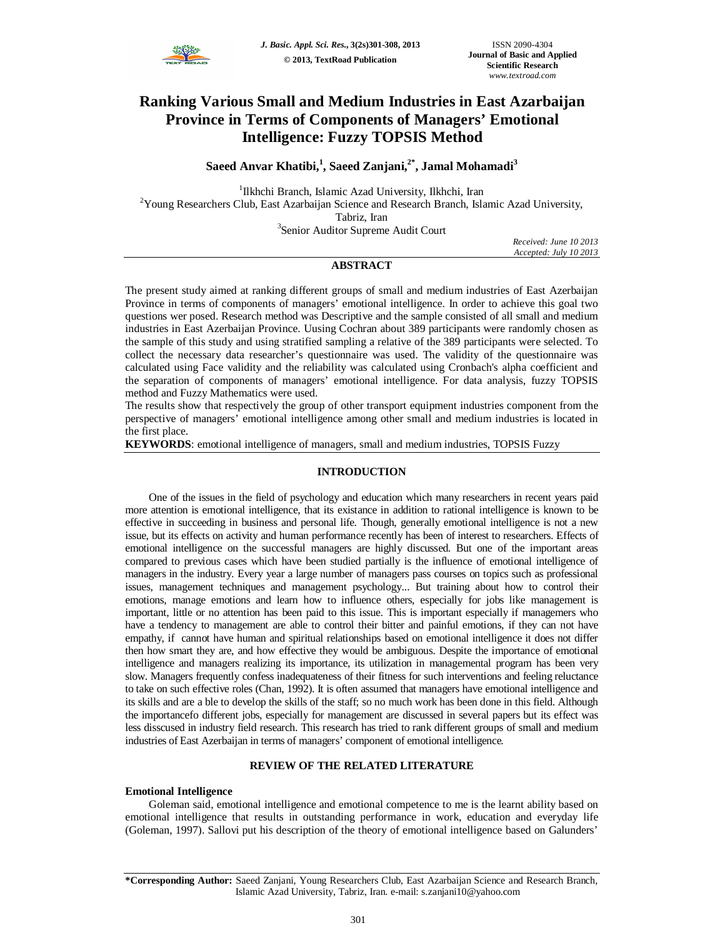

# **Ranking Various Small and Medium Industries in East Azarbaijan Province in Terms of Components of Managers' Emotional Intelligence: Fuzzy TOPSIS Method**

**Saeed Anvar Khatibi,<sup>1</sup> , Saeed Zanjani,2\*, Jamal Mohamadi<sup>3</sup>**

<sup>1</sup>Ilkhchi Branch, Islamic Azad University, Ilkhchi, Iran  $2$ Young Researchers Club, East Azarbaijan Science and Research Branch, Islamic Azad University, Tabriz, Iran

<sup>3</sup>Senior Auditor Supreme Audit Court

*Received: June 10 2013 Accepted: July 10 2013*

## **ABSTRACT**

The present study aimed at ranking different groups of small and medium industries of East Azerbaijan Province in terms of components of managers' emotional intelligence. In order to achieve this goal two questions wer posed. Research method was Descriptive and the sample consisted of all small and medium industries in East Azerbaijan Province. Uusing Cochran about 389 participants were randomly chosen as the sample of this study and using stratified sampling a relative of the 389 participants were selected. To collect the necessary data researcher's questionnaire was used. The validity of the questionnaire was calculated using Face validity and the reliability was calculated using Cronbach's alpha coefficient and the separation of components of managers' emotional intelligence. For data analysis, fuzzy TOPSIS method and Fuzzy Mathematics were used.

The results show that respectively the group of other transport equipment industries component from the perspective of managers' emotional intelligence among other small and medium industries is located in the first place.

**KEYWORDS**: emotional intelligence of managers, small and medium industries, TOPSIS Fuzzy

#### **INTRODUCTION**

One of the issues in the field of psychology and education which many researchers in recent years paid more attention is emotional intelligence, that its existance in addition to rational intelligence is known to be effective in succeeding in business and personal life. Though, generally emotional intelligence is not a new issue, but its effects on activity and human performance recently has been of interest to researchers. Effects of emotional intelligence on the successful managers are highly discussed. But one of the important areas compared to previous cases which have been studied partially is the influence of emotional intelligence of managers in the industry. Every year a large number of managers pass courses on topics such as professional issues, management techniques and management psychology... But training about how to control their emotions, manage emotions and learn how to influence others, especially for jobs like management is important, little or no attention has been paid to this issue. This is important especially if managemers who have a tendency to management are able to control their bitter and painful emotions, if they can not have empathy, if cannot have human and spiritual relationships based on emotional intelligence it does not differ then how smart they are, and how effective they would be ambiguous. Despite the importance of emotional intelligence and managers realizing its importance, its utilization in managemental program has been very slow. Managers frequently confess inadequateness of their fitness for such interventions and feeling reluctance to take on such effective roles (Chan, 1992). It is often assumed that managers have emotional intelligence and its skills and are a ble to develop the skills of the staff; so no much work has been done in this field. Although the importancefo different jobs, especially for management are discussed in several papers but its effect was less disscused in industry field research. This research has tried to rank different groups of small and medium industries of East Azerbaijan in terms of managers' component of emotional intelligence.

#### **REVIEW OF THE RELATED LITERATURE**

#### **Emotional Intelligence**

Goleman said, emotional intelligence and emotional competence to me is the learnt ability based on emotional intelligence that results in outstanding performance in work, education and everyday life (Goleman, 1997). Sallovi put his description of the theory of emotional intelligence based on Galunders'

**<sup>\*</sup>Corresponding Author:** Saeed Zanjani, Young Researchers Club, East Azarbaijan Science and Research Branch, Islamic Azad University, Tabriz, Iran. e-mail: s.zanjani10@yahoo.com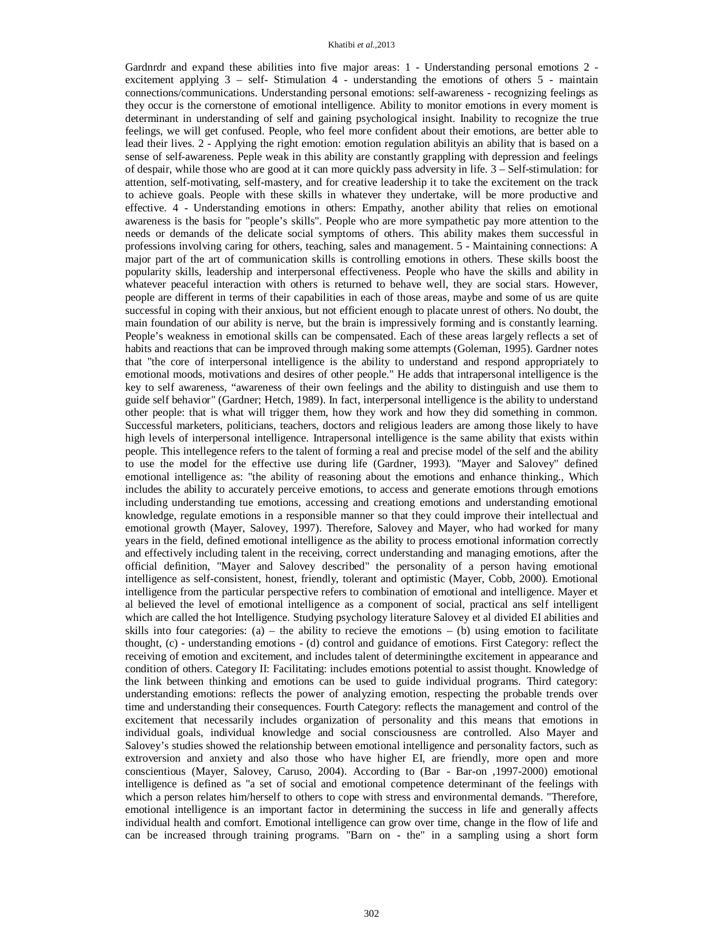#### Khatibi *et al.,*2013

Gardnrdr and expand these abilities into five major areas: 1 - Understanding personal emotions 2 excitement applying  $3$  – self- Stimulation 4 - understanding the emotions of others  $5$  - maintain connections/communications. Understanding personal emotions: self-awareness - recognizing feelings as they occur is the cornerstone of emotional intelligence. Ability to monitor emotions in every moment is determinant in understanding of self and gaining psychological insight. Inability to recognize the true feelings, we will get confused. People, who feel more confident about their emotions, are better able to lead their lives. 2 - Applying the right emotion: emotion regulation abilityis an ability that is based on a sense of self-awareness. Peple weak in this ability are constantly grappling with depression and feelings of despair, while those who are good at it can more quickly pass adversity in life. 3 – Self-stimulation: for attention, self-motivating, self-mastery, and for creative leadership it to take the excitement on the track to achieve goals. People with these skills in whatever they undertake, will be more productive and effective. 4 - Understanding emotions in others: Empathy, another ability that relies on emotional awareness is the basis for "people's skills". People who are more sympathetic pay more attention to the needs or demands of the delicate social symptoms of others. This ability makes them successful in professions involving caring for others, teaching, sales and management. 5 - Maintaining connections: A major part of the art of communication skills is controlling emotions in others. These skills boost the popularity skills, leadership and interpersonal effectiveness. People who have the skills and ability in whatever peaceful interaction with others is returned to behave well, they are social stars. However, people are different in terms of their capabilities in each of those areas, maybe and some of us are quite successful in coping with their anxious, but not efficient enough to placate unrest of others. No doubt, the main foundation of our ability is nerve, but the brain is impressively forming and is constantly learning. People's weakness in emotional skills can be compensated. Each of these areas largely reflects a set of habits and reactions that can be improved through making some attempts (Goleman, 1995). Gardner notes that "the core of interpersonal intelligence is the ability to understand and respond appropriately to emotional moods, motivations and desires of other people." He adds that intrapersonal intelligence is the key to self awareness, "awareness of their own feelings and the ability to distinguish and use them to guide self behavior" (Gardner; Hetch, 1989). In fact, interpersonal intelligence is the ability to understand other people: that is what will trigger them, how they work and how they did something in common. Successful marketers, politicians, teachers, doctors and religious leaders are among those likely to have high levels of interpersonal intelligence. Intrapersonal intelligence is the same ability that exists within people. This intellegence refers to the talent of forming a real and precise model of the self and the ability to use the model for the effective use during life (Gardner, 1993). "Mayer and Salovey" defined emotional intelligence as: "the ability of reasoning about the emotions and enhance thinking., Which includes the ability to accurately perceive emotions, to access and generate emotions through emotions including understanding tue emotions, accessing and creationg emotions and understanding emotional knowledge, regulate emotions in a responsible manner so that they could improve their intellectual and emotional growth (Mayer, Salovey, 1997). Therefore, Salovey and Mayer, who had worked for many years in the field, defined emotional intelligence as the ability to process emotional information correctly and effectively including talent in the receiving, correct understanding and managing emotions, after the official definition, "Mayer and Salovey described" the personality of a person having emotional intelligence as self-consistent, honest, friendly, tolerant and optimistic (Mayer, Cobb, 2000). Emotional intelligence from the particular perspective refers to combination of emotional and intelligence. Mayer et al believed the level of emotional intelligence as a component of social, practical ans self intelligent which are called the hot Intelligence. Studying psychology literature Salovey et al divided EI abilities and skills into four categories: (a) – the ability to recieve the emotions  $-$  (b) using emotion to facilitate thought, (c) - understanding emotions - (d) control and guidance of emotions. First Category: reflect the receiving of emotion and excitement, and includes talent of determiningthe excitement in appearance and condition of others. Category II: Facilitating: includes emotions potential to assist thought. Knowledge of the link between thinking and emotions can be used to guide individual programs. Third category: understanding emotions: reflects the power of analyzing emotion, respecting the probable trends over time and understanding their consequences. Fourth Category: reflects the management and control of the excitement that necessarily includes organization of personality and this means that emotions in individual goals, individual knowledge and social consciousness are controlled. Also Mayer and Salovey's studies showed the relationship between emotional intelligence and personality factors, such as extroversion and anxiety and also those who have higher EI, are friendly, more open and more conscientious (Mayer, Salovey, Caruso, 2004). According to (Bar - Bar-on ,1997-2000) emotional intelligence is defined as "a set of social and emotional competence determinant of the feelings with which a person relates him/herself to others to cope with stress and environmental demands. "Therefore, emotional intelligence is an important factor in determining the success in life and generally affects individual health and comfort. Emotional intelligence can grow over time, change in the flow of life and can be increased through training programs. "Barn on - the" in a sampling using a short form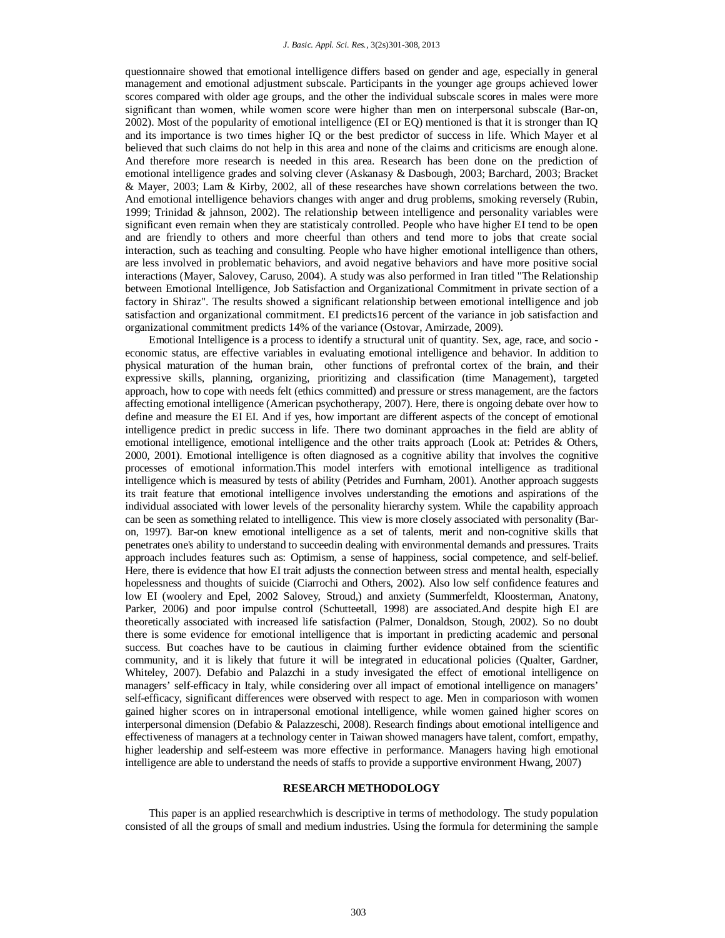questionnaire showed that emotional intelligence differs based on gender and age, especially in general management and emotional adjustment subscale. Participants in the younger age groups achieved lower scores compared with older age groups, and the other the individual subscale scores in males were more significant than women, while women score were higher than men on interpersonal subscale (Bar-on, 2002). Most of the popularity of emotional intelligence (EI or EQ) mentioned is that it is stronger than IQ and its importance is two times higher IQ or the best predictor of success in life. Which Mayer et al believed that such claims do not help in this area and none of the claims and criticisms are enough alone. And therefore more research is needed in this area. Research has been done on the prediction of emotional intelligence grades and solving clever (Askanasy & Dasbough, 2003; Barchard, 2003; Bracket & Mayer, 2003; Lam & Kirby, 2002, all of these researches have shown correlations between the two. And emotional intelligence behaviors changes with anger and drug problems, smoking reversely (Rubin, 1999; Trinidad & jahnson, 2002). The relationship between intelligence and personality variables were significant even remain when they are statisticaly controlled. People who have higher EI tend to be open and are friendly to others and more cheerful than others and tend more to jobs that create social interaction, such as teaching and consulting. People who have higher emotional intelligence than others, are less involved in problematic behaviors, and avoid negative behaviors and have more positive social interactions (Mayer, Salovey, Caruso, 2004). A study was also performed in Iran titled "The Relationship between Emotional Intelligence, Job Satisfaction and Organizational Commitment in private section of a factory in Shiraz". The results showed a significant relationship between emotional intelligence and job satisfaction and organizational commitment. EI predicts16 percent of the variance in job satisfaction and organizational commitment predicts 14% of the variance (Ostovar, Amirzade, 2009).

Emotional Intelligence is a process to identify a structural unit of quantity. Sex, age, race, and socio economic status, are effective variables in evaluating emotional intelligence and behavior. In addition to physical maturation of the human brain, other functions of prefrontal cortex of the brain, and their expressive skills, planning, organizing, prioritizing and classification (time Management), targeted approach, how to cope with needs felt (ethics committed) and pressure or stress management, are the factors affecting emotional intelligence (American psychotherapy, 2007). Here, there is ongoing debate over how to define and measure the EI EI. And if yes, how important are different aspects of the concept of emotional intelligence predict in predic success in life. There two dominant approaches in the field are ablity of emotional intelligence, emotional intelligence and the other traits approach (Look at: Petrides & Others, 2000, 2001). Emotional intelligence is often diagnosed as a cognitive ability that involves the cognitive processes of emotional information.This model interfers with emotional intelligence as traditional intelligence which is measured by tests of ability (Petrides and Furnham, 2001). Another approach suggests its trait feature that emotional intelligence involves understanding the emotions and aspirations of the individual associated with lower levels of the personality hierarchy system. While the capability approach can be seen as something related to intelligence. This view is more closely associated with personality (Baron, 1997). Bar-on knew emotional intelligence as a set of talents, merit and non-cognitive skills that penetrates one's ability to understand to succeedin dealing with environmental demands and pressures. Traits approach includes features such as: Optimism, a sense of happiness, social competence, and self-belief. Here, there is evidence that how EI trait adjusts the connection between stress and mental health, especially hopelessness and thoughts of suicide (Ciarrochi and Others, 2002). Also low self confidence features and low EI (woolery and Epel, 2002 Salovey, Stroud,) and anxiety (Summerfeldt, Kloosterman, Anatony, Parker, 2006) and poor impulse control (Schutteetall, 1998) are associated.And despite high EI are theoretically associated with increased life satisfaction (Palmer, Donaldson, Stough, 2002). So no doubt there is some evidence for emotional intelligence that is important in predicting academic and personal success. But coaches have to be cautious in claiming further evidence obtained from the scientific community, and it is likely that future it will be integrated in educational policies (Qualter, Gardner, Whiteley, 2007). Defabio and Palazchi in a study invesigated the effect of emotional intelligence on managers' self-efficacy in Italy, while considering over all impact of emotional intelligence on managers' self-efficacy, significant differences were observed with respect to age. Men in comparioson with women gained higher scores on in intrapersonal emotional intelligence, while women gained higher scores on interpersonal dimension (Defabio & Palazzeschi, 2008). Research findings about emotional intelligence and effectiveness of managers at a technology center in Taiwan showed managers have talent, comfort, empathy, higher leadership and self-esteem was more effective in performance. Managers having high emotional intelligence are able to understand the needs of staffs to provide a supportive environment Hwang, 2007)

#### **RESEARCH METHODOLOGY**

This paper is an applied researchwhich is descriptive in terms of methodology. The study population consisted of all the groups of small and medium industries. Using the formula for determining the sample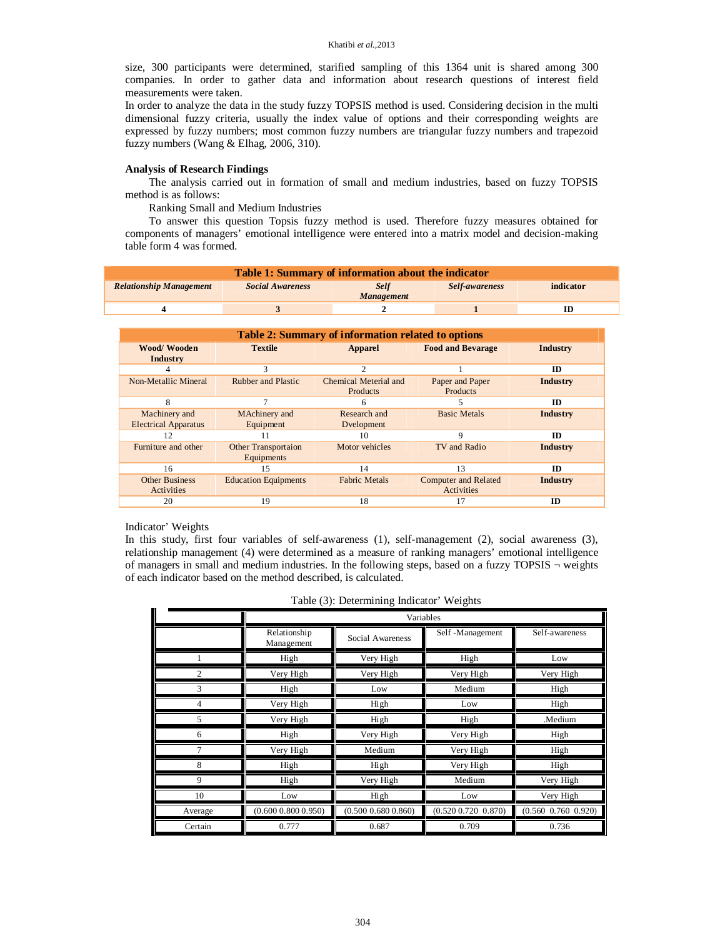size, 300 participants were determined, starified sampling of this 1364 unit is shared among 300 companies. In order to gather data and information about research questions of interest field measurements were taken.

In order to analyze the data in the study fuzzy TOPSIS method is used. Considering decision in the multi dimensional fuzzy criteria, usually the index value of options and their corresponding weights are expressed by fuzzy numbers; most common fuzzy numbers are triangular fuzzy numbers and trapezoid fuzzy numbers (Wang & Elhag, 2006, 310).

### **Analysis of Research Findings**

The analysis carried out in formation of small and medium industries, based on fuzzy TOPSIS method is as follows:

Ranking Small and Medium Industries

To answer this question Topsis fuzzy method is used. Therefore fuzzy measures obtained for components of managers' emotional intelligence were entered into a matrix model and decision-making table form 4 was formed.

| <b>Table 1: Summary of information about the indicator</b> |                                                                                     |  |  |    |  |  |
|------------------------------------------------------------|-------------------------------------------------------------------------------------|--|--|----|--|--|
| <b>Relationship Management</b>                             | <b>Self</b><br><b>Social Awareness</b><br>indicator<br>Self-awareness<br>Management |  |  |    |  |  |
|                                                            |                                                                                     |  |  | ID |  |  |

| Table 2: Summary of information related to options |                                          |                                   |                                           |           |  |  |
|----------------------------------------------------|------------------------------------------|-----------------------------------|-------------------------------------------|-----------|--|--|
| <b>Wood/Wooden</b><br>Industry                     | <b>Textile</b>                           | <b>Apparel</b>                    | <b>Food and Bevarage</b>                  | Industry  |  |  |
|                                                    | 3                                        | 2                                 |                                           | ID        |  |  |
| Non-Metallic Mineral                               | <b>Rubber and Plastic</b>                | Chemical Meterial and<br>Products | Paper and Paper<br><b>Products</b>        | Industry  |  |  |
| 8                                                  |                                          | 6                                 |                                           | ID        |  |  |
| Machinery and<br><b>Electrical Apparatus</b>       | MAchinery and<br>Equipment               | Research and<br>Dvelopment        | <b>Basic Metals</b>                       | Industry  |  |  |
| 12                                                 | 11                                       | 10                                | 9                                         | ID        |  |  |
| Furniture and other                                | <b>Other Transportaion</b><br>Equipments | Motor vehicles                    | TV and Radio                              | Industry  |  |  |
| 16                                                 | 15                                       | 14                                | 13                                        | ID        |  |  |
| <b>Other Business</b><br>Activities                | <b>Education Equipments</b>              | <b>Fabric Metals</b>              | <b>Computer and Related</b><br>Activities | Industry  |  |  |
| 20                                                 | 19                                       | 18                                | 17                                        | <b>ID</b> |  |  |

#### Indicator' Weights

In this study, first four variables of self-awareness (1), self-management (2), social awareness (3), relationship management (4) were determined as a measure of ranking managers' emotional intelligence of managers in small and medium industries. In the following steps, based on a fuzzy TOPSIS  $\neg$  weights of each indicator based on the method described, is calculated.

|                | Variables                  |                         |                         |                           |  |
|----------------|----------------------------|-------------------------|-------------------------|---------------------------|--|
|                | Relationship<br>Management | Social Awareness        | Self -Management        | Self-awareness            |  |
|                | High                       | Very High               | High                    | Low                       |  |
| $\overline{c}$ | Very High                  | Very High               | Very High               | Very High                 |  |
| 3              | High                       | Low                     | Medium                  | High                      |  |
| 4              | Very High                  | High                    | Low                     | High                      |  |
| 5              | Very High                  | High                    | High                    | .Medium                   |  |
| 6              | High                       | Very High               | Very High               | High                      |  |
| 7              | Very High                  | Medium                  | Very High               | High                      |  |
| 8              | High                       | High                    | Very High               | High                      |  |
| 9              | High                       | Very High               | Medium                  | Very High                 |  |
| 10             | Low                        | High                    | Low                     | Very High                 |  |
| Average        | $(0.600\ 0.800\ 0.950)$    | $(0.500\ 0.680\ 0.860)$ | $(0.520\ 0.720\ 0.870)$ | $(0.560 \t0.760 \t0.920)$ |  |
| Certain        | 0.777                      | 0.687                   | 0.709                   | 0.736                     |  |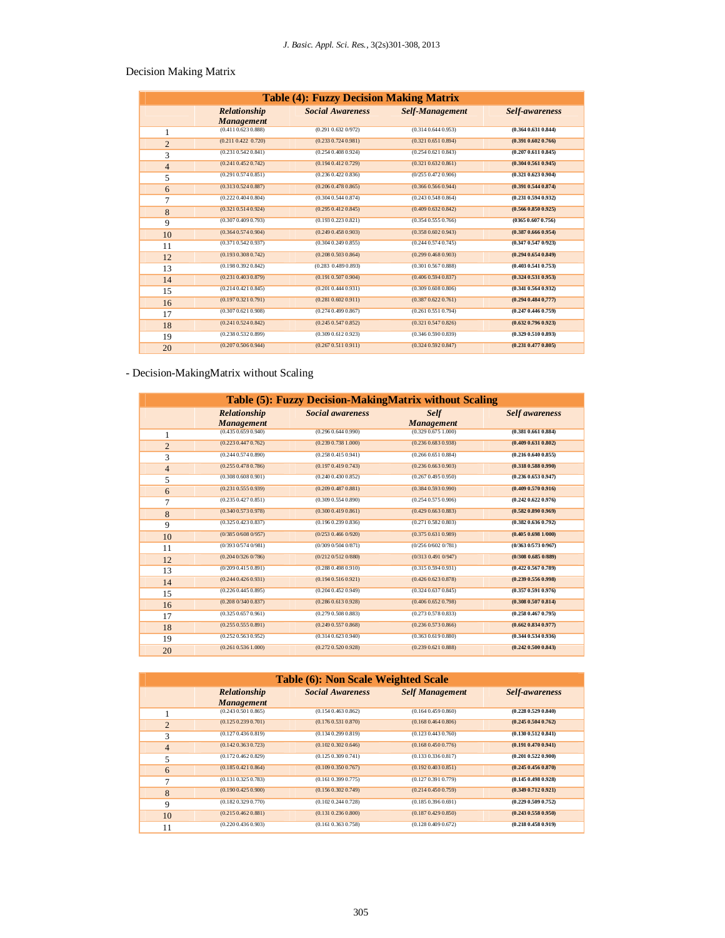## Decision Making Matrix

| <b>Table (4): Fuzzy Decision Making Matrix</b> |                                   |                         |                         |                         |  |
|------------------------------------------------|-----------------------------------|-------------------------|-------------------------|-------------------------|--|
|                                                | Relationship<br><b>Management</b> | <b>Social Awareness</b> | <b>Self-Management</b>  | Self-awareness          |  |
| 1                                              | $(0.411\ 0.623\ 0.888)$           | $(0.291\ 0.632\ 0.972)$ | $(0.314\,0.644\,0.953)$ | (0.364 0.631 0.844)     |  |
| $\overline{2}$                                 | (0.211 0.422 0.720)               | $(0.233\ 0.724\ 0.981)$ | $(0.321\,0.651\,0.894)$ | $(0.391\ 0.602\ 0.766)$ |  |
| 3                                              | $(0.231\ 0.542\ 0.841)$           | (0.254 0.408 0.924)     | (0.254 0.621 0.843)     | (0.207 0.611 0.845)     |  |
| 4                                              | $(0.241\ 0.452\ 0.742)$           | $(0.194\,0.412\,0.729)$ | $(0.321\,0.632\,0.861)$ | (0.304 0.561 0.945)     |  |
| 5                                              | $(0.291\ 0.574\ 0.851)$           | $(0.236\,0.422\,0.836)$ | (0/2550.4720.906)       | $(0.321\ 0.623\ 0.904)$ |  |
| 6                                              | $(0.313\,0.524\,0.887)$           | $(0.206\,0.478\,0.865)$ | (0.366 0.566 0.944)     | $(0.391\ 0.544\ 0.874)$ |  |
| 7                                              | (0.222 0.404 0.804)               | (0.304 0.544 0.874)     | $(0.243\,0.548\,0.864)$ | (0.231 0.594 0.932)     |  |
| 8                                              | $(0.321\ 0.514\ 0.924)$           | $(0.295\,0.412\,0.845)$ | $(0.409\,0.632\,0.842)$ | (0.566 0.850 0.925)     |  |
| 9                                              | (0.307 0.409 0.793)               | $(0.193\ 0.223\ 0.821)$ | (0.354 0.555 0.766)     | (03650.6070.756)        |  |
| 10                                             | (0.364 0.574 0.904)               | $(0.249\ 0.458\ 0.903)$ | (0.3580.6020.943)       | (0.387 0.666 0.954)     |  |
| 11                                             | $(0.371\ 0.542\ 0.937)$           | (0.304 0.249 0.855)     | $(0.244\,0.574\,0.745)$ | (0.347 0.547 0/923)     |  |
| 12                                             | $(0.193\,0.308\,0.742)$           | $(0.208\ 0.503\ 0.864)$ | $(0.299\,0.468\,0.903)$ | $(0.294\ 0.654\ 0.849)$ |  |
| 13                                             | (0.1980.3920.842)                 | (0.283 0.489 0.893)     | $(0.301\ 0.567\ 0.888)$ | (0.403 0.541 0.753)     |  |
| 14                                             | $(0.231\,0.403\,0.879)$           | $(0.191\ 0.507\ 0.904)$ | $(0.406\,0.594\,0.837)$ | (0.324 0.531 0.953)     |  |
| 15                                             | (0.214 0.421 0.845)               | $(0.201\ 0.444\ 0.931)$ | $(0.309\,0.608\,0.806)$ | (0.341 0.564 0.932)     |  |
| 16                                             | (0.1970.3210.791)                 | $(0.281\ 0.602\ 0.911)$ | (0.3870.6220.761)       | $(0.294\ 0.484\ 0.777)$ |  |
| 17                                             | (0.307 0.621 0.908)               | $(0.274\ 0.499\ 0.867)$ | $(0.261\ 0.551\ 0.794)$ | (0.247 0.446 0.759)     |  |
| 18                                             | $(0.241\ 0.524\ 0.842)$           | $(0.245\ 0.547\ 0.852)$ | $(0.321\ 0.547\ 0.826)$ | $(0.632\ 0.796\ 0.923)$ |  |
| 19                                             | (0.238 0.532 0.899)               | $(0.309\ 0.612\ 0.923)$ | $(0.346\,0.590\,0.839)$ | (0.329 0.510 0.893)     |  |
| 20                                             | (0.207 0.506 0.944)               | (0.267 0.511 0.911)     | (0.3240.5920.847)       | $(0.231\ 0.477\ 0.805)$ |  |

## - Decision-MakingMatrix without Scaling

| Table (5): Fuzzy Decision-MakingMatrix without Scaling |                                   |                         |                                  |                         |  |
|--------------------------------------------------------|-----------------------------------|-------------------------|----------------------------------|-------------------------|--|
|                                                        | Relationship<br><b>Management</b> | <b>Social awareness</b> | <b>Self</b><br><b>Management</b> | <b>Self</b> awareness   |  |
| 1                                                      | $(0.435\,0.659\,0.940)$           | $(0.296\ 0.644\ 0.990)$ | $(0.329\,0.675\,1.000)$          | (0.381 0.661 0.884)     |  |
| $\overline{2}$                                         | (0.2230.4470.762)                 | $(0.239\ 0.738\ 1.000)$ | $(0.236\,0.683\,0.938)$          | $(0.409\ 0.631\ 0.802)$ |  |
| 3                                                      | $(0.244\,0.574\,0.890)$           | (0.258 0.415 0.941)     | $(0.266\,0.651\,0.884)$          | $(0.216\ 0.640\ 0.855)$ |  |
| $\overline{4}$                                         | $(0.255\,0.478\,0.786)$           | (0.1970.4190.743)       | $(0.236\,0.663\,0.903)$          | (0.318 0.588 0.990)     |  |
| 5                                                      | $(0.308\ 0.608\ 0.901)$           | $(0.240\ 0.430\ 0.852)$ | (0.2670.4950.950)                | $(0.236\ 0.653\ 0.947)$ |  |
| 6                                                      | $(0.231\ 0.555\ 0.939)$           | $(0.209\ 0.487\ 0.881)$ | (0.384 0.593 0.990)              | $(0.409\ 0.570\ 0.916)$ |  |
| 7                                                      | $(0.235\,0.427\,0.851)$           | $(0.309\ 0.554\ 0.890)$ | (0.254 0.575 0.906)              | (0.242 0.622 0.976)     |  |
| 8                                                      | $(0.340\,0.573\,0.978)$           | (0.300 0.419 0.861)     | $(0.429\,0.663\,0.883)$          | (0.582 0.890 0.969)     |  |
| 9                                                      | $(0.325\,0.423\,0.837)$           | $(0.196\,0.239\,0.836)$ | $(0.271\ 0.582\ 0.803)$          | (0.382 0.636 0.792)     |  |
| 10                                                     | (0/3850/6080/957)                 | (0/2530.4660/920)       | $(0.375\,0.631\,0.989)$          | $(0.405\ 0.698\ 1/000)$ |  |
| 11                                                     | (0/3930/5740/981)                 | (0/3090/5040/871)       | (0/2560/6020/781)                | (0/3630/5730/967)       |  |
| 12                                                     | (0.2040/3260/786)                 | (0/2120/5120/880)       | (0/3130.4910/947)                | (0/308 0.685 0/889)     |  |
| 13                                                     | (0/2090.4150.891)                 | (0.288 0.498 0.910)     | $(0.315\,0.594\,0.931)$          | (0.422 0.567 0.789)     |  |
| 14                                                     | $(0.244\,0.426\,0.931)$           | (0.194 0.516 0.921)     | $(0.426\,0.623\,0.878)$          | $(0.239\ 0.556\ 0.998)$ |  |
| 15                                                     | (0.226 0.445 0.895)               | (0.204 0.452 0.949)     | $(0.324\,0.637\,0.845)$          | (0.357 0.591 0.976)     |  |
| 16                                                     | (0.2080/3400.837)                 | $(0.286\ 0.613\ 0.928)$ | $(0.406\,0.652\,0.798)$          | (0.308 0.507 0.814)     |  |
| 17                                                     | $(0.325\,0.657\,0.961)$           | $(0.279\,0.508\,0.883)$ | $(0.273\,0.578\,0.833)$          | (0.258 0.467 0.795)     |  |
| 18                                                     | $(0.255\,0.555\,0.891)$           | $(0.249\ 0.557\ 0.868)$ | $(0.236\,0.573\,0.866)$          | (0.662 0.834 0.977)     |  |
| 19                                                     | (0.252 0.563 0.952)               | $(0.314\ 0.623\ 0.940)$ | $(0.363\ 0.619\ 0.880)$          | (0.344 0.534 0.936)     |  |
| 20                                                     | $(0.261\ 0.536\ 1.000)$           | $(0.272\ 0.520\ 0.928)$ | $(0.239\,0.621\,0.888)$          | (0.242 0.500 0.843)     |  |

### **Table (6): Non Scale Weighted Scale**

| Table (0). Ton beare 11 eighted beare |                         |                         |                         |                         |  |
|---------------------------------------|-------------------------|-------------------------|-------------------------|-------------------------|--|
|                                       | Relationship            | <b>Social Awareness</b> | <b>Self Management</b>  | Self-awareness          |  |
|                                       | <b>Management</b>       |                         |                         |                         |  |
|                                       | $(0.243\,0.501\,0.865)$ | $(0.154\,0.463\,0.862)$ | $(0.164\,0.459\,0.860)$ | (0.228 0.529 0.840)     |  |
| $\overline{2}$                        | $(0.125\,0.239\,0.701)$ | $(0.176\,0.531\,0.870)$ | (0.1680.4640.806)       | $(0.245\ 0.504\ 0.762)$ |  |
| 3                                     | (0.1270.4360.819)       | (0.134 0.299 0.819)     | $(0.123\,0.443\,0.760)$ | (0.130 0.512 0.841)     |  |
| $\overline{4}$                        | $(0.142\,0.363\,0.723)$ | (0.102 0.302 0.646)     | $(0.168\,0.450\,0.776)$ | $(0.191\ 0.470\ 0.941)$ |  |
| 5                                     | $(0.172\,0.462\,0.829)$ | $(0.125\ 0.309\ 0.741)$ | $(0.133\,0.336\,0.817)$ | $(0.201\ 0.522\ 0.900)$ |  |
| 6                                     | (0.185 0.421 0.864)     | $(0.109\,0.350\,0.767)$ | $(0.192\,0.403\,0.851)$ | $(0.245\ 0.456\ 0.870)$ |  |
| 7                                     | $(0.131\,0.325\,0.783)$ | $(0.161\ 0.399\ 0.775)$ | (0.1270.3910.779)       | (0.145 0.498 0.928)     |  |
| 8                                     | (0.190 0.425 0.900)     | $(0.156\,0.302\,0.749)$ | $(0.214\,0.450\,0.759)$ | $(0.349\ 0.712\ 0.921)$ |  |
| 9                                     | $(0.182\,0.329\,0.770)$ | (0.102 0.244 0.728)     | $(0.185\ 0.396\ 0.691)$ | $(0.229\ 0.509\ 0.752)$ |  |
| 10                                    | $(0.215\,0.462\,0.881)$ | $(0.131\ 0.236\ 0.800)$ | (0.1870.4290.850)       | $(0.243\ 0.558\ 0.950)$ |  |
| 11                                    | $(0.220\,0.436\,0.903)$ | $(0.161\ 0.363\ 0.758)$ | $(0.128\ 0.409\ 0.672)$ | $(0.218\ 0.458\ 0.919)$ |  |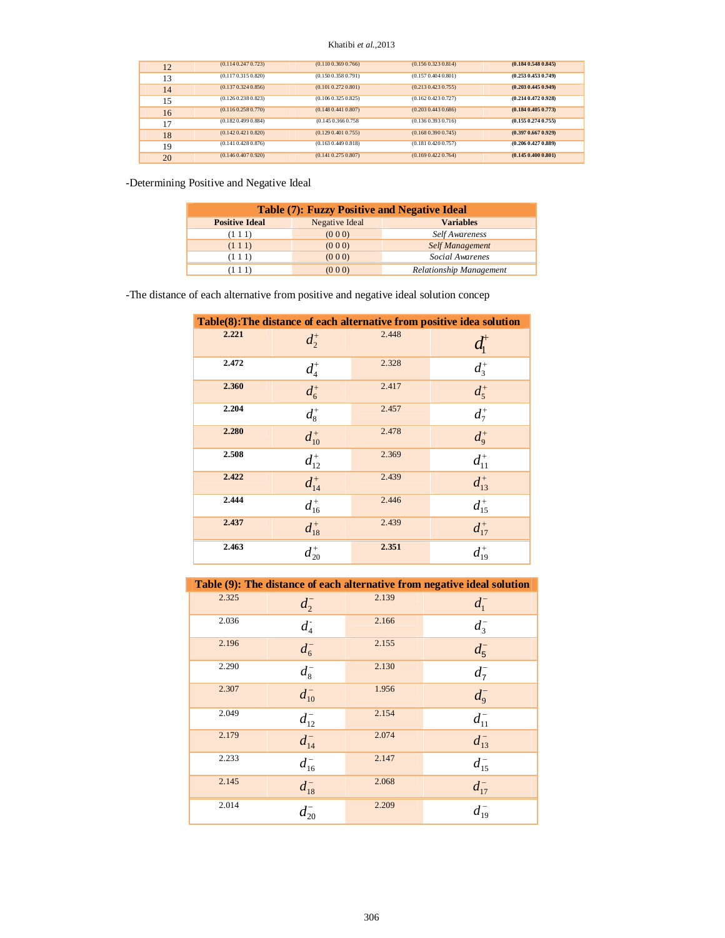#### Khatibi *et al.,*2013

| 12 | (0.1140.2470.723)       | (0.1100.3690.766)       | $(0.156\,0.323\,0.814)$ | (0.1840.5480.845)       |
|----|-------------------------|-------------------------|-------------------------|-------------------------|
| 13 | (0.1170.3150.820)       | (0.1500.3580.791)       | (0.1570.4040.801)       | $(0.253\ 0.453\ 0.749)$ |
| 14 | (0.1370.3240.856)       | $(0.101\ 0.272\ 0.801)$ | $(0.213\,0.423\,0.755)$ | (0.203 0.445 0.949)     |
| 15 | $(0.126\,0.238\,0.823)$ | $(0.106\,0.325\,0.825)$ | (0.1620.4230.727)       | $(0.214\ 0.472\ 0.928)$ |
| 16 | (0.1160.2580.770)       | (0.1480.4410.807)       | $(0.203\,0.443\,0.686)$ | (0.1840.4050.773)       |
| 17 | (0.1820.4990.884)       | $(0.145\,0.366\,0.758)$ | $(0.136\,0.393\,0.716)$ | $(0.155\ 0.274\ 0.755)$ |
| 18 | (0.1420.4210.820)       | (0.129 0.401 0.755)     | (0.1680.3900.745)       | (0.397 0.667 0.929)     |
| 19 | $(0.141\,0.428\,0.876)$ | $(0.163\,0.449\,0.818)$ | (0.1810.4200.757)       | $(0.206\ 0.427\ 0.889)$ |
| 20 | $(0.146\,0.407\,0.920)$ | $(0.141\ 0.275\ 0.807)$ | $(0.169\,0.422\,0.764)$ | (0.1450.4000.801)       |

-Determining Positive and Negative Ideal

| <b>Table (7): Fuzzy Positive and Negative Ideal</b>         |       |                         |  |  |  |
|-------------------------------------------------------------|-------|-------------------------|--|--|--|
| Negative Ideal<br><b>Positive Ideal</b><br><b>Variables</b> |       |                         |  |  |  |
| (111)                                                       | (000) | Self Awareness          |  |  |  |
| $(1\;1\;1)$                                                 | (000) | <b>Self Management</b>  |  |  |  |
| $(1\;1\;1)$                                                 | (000) | Social Awarenes         |  |  |  |
| (111)                                                       | (000) | Relationship Management |  |  |  |

-The distance of each alternative from positive and negative ideal solution concep

|       | Table(8): The distance of each alternative from positive idea solution |       |                   |  |  |  |  |  |
|-------|------------------------------------------------------------------------|-------|-------------------|--|--|--|--|--|
| 2.221 | $d_2^+$                                                                | 2.448 | $d_{1}^{\dagger}$ |  |  |  |  |  |
| 2.472 | $d_4^+$                                                                | 2.328 | $d_3^+$           |  |  |  |  |  |
| 2.360 | $d_6^+$                                                                | 2.417 | $d_5^+$           |  |  |  |  |  |
| 2.204 | $d_8^+$                                                                | 2.457 | $d_7^+$           |  |  |  |  |  |
| 2.280 | $d_{10}^+$                                                             | 2.478 | $d_9^+$           |  |  |  |  |  |
| 2.508 | $d_{12}^+$                                                             | 2.369 | $d_{11}^+$        |  |  |  |  |  |
| 2.422 | $\overline{d_{14}^+}$                                                  | 2.439 | $d_{13}^+$        |  |  |  |  |  |
| 2.444 | $d^+_{\scriptscriptstyle 16}$                                          | 2.446 | $d_{15}^+$        |  |  |  |  |  |
| 2.437 | $d_{18}^+$                                                             | 2.439 | $d_{17}^+$        |  |  |  |  |  |
| 2.463 | $d_{20}^+$                                                             | 2.351 | $d_{19}^+$        |  |  |  |  |  |

|       |            |       | Table (9): The distance of each alternative from negative ideal solution |
|-------|------------|-------|--------------------------------------------------------------------------|
| 2.325 | $d_2^-$    | 2.139 | $d_1^-$                                                                  |
| 2.036 | $d_4$      | 2.166 | $d_3^-$                                                                  |
| 2.196 | $d_6^-$    | 2.155 | $d_5^-$                                                                  |
| 2.290 | $d_8^-$    | 2.130 | $d_7^-$                                                                  |
| 2.307 | $d_{10}^-$ | 1.956 | $d_9^-$                                                                  |
| 2.049 | $d_{12}^-$ | 2.154 | $d_{11}^-$                                                               |
| 2.179 | $d_{14}^-$ | 2.074 | $d_{13}^-$                                                               |
| 2.233 | $d_{16}^-$ | 2.147 | $d_{15}^-$                                                               |
| 2.145 | $d_{18}^-$ | 2.068 | $d_{17}^-$                                                               |
| 2.014 | $d^-_{20}$ | 2.209 | $d_{19}^-$                                                               |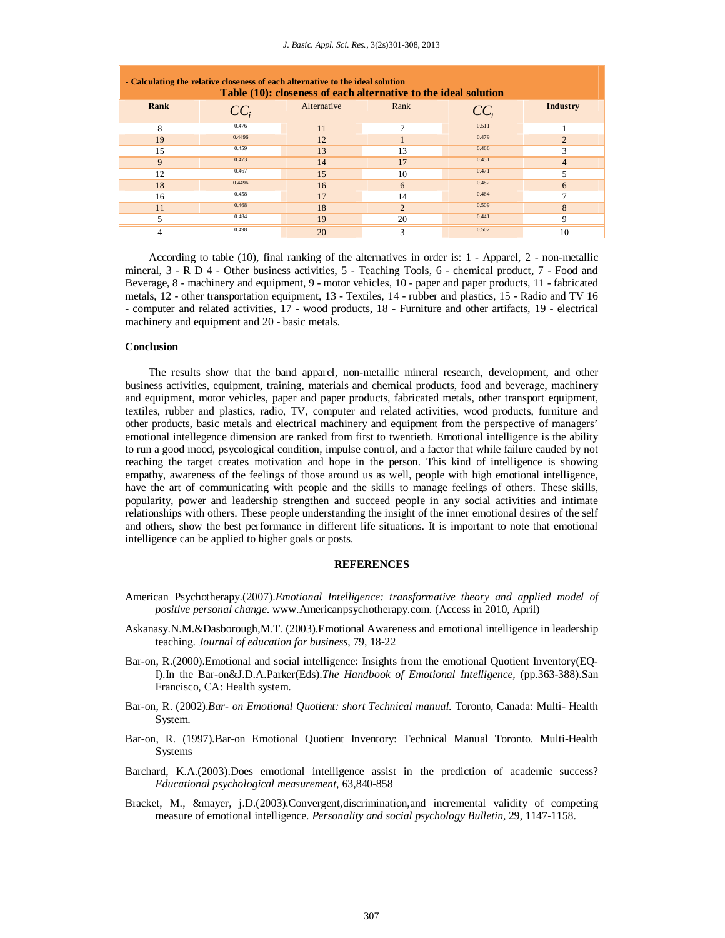| - Calculating the relative closeness of each alternative to the ideal solution<br>Table (10): closeness of each alternative to the ideal solution |        |             |                |        |                |  |
|---------------------------------------------------------------------------------------------------------------------------------------------------|--------|-------------|----------------|--------|----------------|--|
| Rank                                                                                                                                              | $CC_i$ | Alternative | Rank           | $CC_i$ | Industry       |  |
| 8                                                                                                                                                 | 0.476  | 11          | 7              | 0.511  |                |  |
| 19                                                                                                                                                | 0.4496 | 12          |                | 0.479  | $\overline{2}$ |  |
| 15                                                                                                                                                | 0.459  | 13          | 13             | 0.466  | 3              |  |
| 9                                                                                                                                                 | 0.473  | 14          | 17             | 0.451  | $\overline{4}$ |  |
| 12                                                                                                                                                | 0.467  | 15          | 10             | 0.471  | 5              |  |
| 18                                                                                                                                                | 0.4496 | 16          | 6              | 0.482  | 6              |  |
| 16                                                                                                                                                | 0.458  | 17          | 14             | 0.464  | 7              |  |
| 11                                                                                                                                                | 0.468  | 18          | $\overline{2}$ | 0.509  | 8              |  |
| 5                                                                                                                                                 | 0.484  | 19          | 20             | 0.441  | 9              |  |
| 4                                                                                                                                                 | 0.498  | 20          | 3              | 0.502  | 10             |  |

According to table (10), final ranking of the alternatives in order is: 1 - Apparel, 2 - non-metallic mineral, 3 - R D 4 - Other business activities, 5 - Teaching Tools, 6 - chemical product, 7 - Food and Beverage, 8 - machinery and equipment, 9 - motor vehicles, 10 - paper and paper products, 11 - fabricated metals, 12 - other transportation equipment, 13 - Textiles, 14 - rubber and plastics, 15 - Radio and TV 16 - computer and related activities, 17 - wood products, 18 - Furniture and other artifacts, 19 - electrical machinery and equipment and 20 - basic metals.

#### **Conclusion**

The results show that the band apparel, non-metallic mineral research, development, and other business activities, equipment, training, materials and chemical products, food and beverage, machinery and equipment, motor vehicles, paper and paper products, fabricated metals, other transport equipment, textiles, rubber and plastics, radio, TV, computer and related activities, wood products, furniture and other products, basic metals and electrical machinery and equipment from the perspective of managers' emotional intellegence dimension are ranked from first to twentieth. Emotional intelligence is the ability to run a good mood, psycological condition, impulse control, and a factor that while failure cauded by not reaching the target creates motivation and hope in the person. This kind of intelligence is showing empathy, awareness of the feelings of those around us as well, people with high emotional intelligence, have the art of communicating with people and the skills to manage feelings of others. These skills, popularity, power and leadership strengthen and succeed people in any social activities and intimate relationships with others. These people understanding the insight of the inner emotional desires of the self and others, show the best performance in different life situations. It is important to note that emotional intelligence can be applied to higher goals or posts.

#### **REFERENCES**

- American Psychotherapy.(2007).*Emotional Intelligence: transformative theory and applied model of positive personal change*. www.Americanpsychotherapy.com. (Access in 2010, April)
- Askanasy.N.M.&Dasborough,M.T. (2003)*.*Emotional Awareness and emotional intelligence in leadership teaching. *Journal of education for business*, 79, 18-22
- Bar-on, R.(2000).Emotional and social intelligence: Insights from the emotional Quotient Inventory(EQ-I).In the Bar-on&J.D.A.Parker(Eds).*The Handbook of Emotional Intelligence,* (pp.363-388).San Francisco, CA: Health system.
- Bar-on, R. (2002).*Bar- on Emotional Quotient: short Technical manual*. Toronto, Canada: Multi- Health System.
- Bar-on, R. (1997).Bar-on Emotional Quotient Inventory: Technical Manual Toronto. Multi-Health Systems
- Barchard, K.A.(2003).Does emotional intelligence assist in the prediction of academic success? *Educational psychological measurement*, 63,840-858
- Bracket, M., &mayer, j.D.(2003).Convergent,discrimination,and incremental validity of competing measure of emotional intelligence. *Personality and social psychology Bulletin*, 29, 1147-1158.